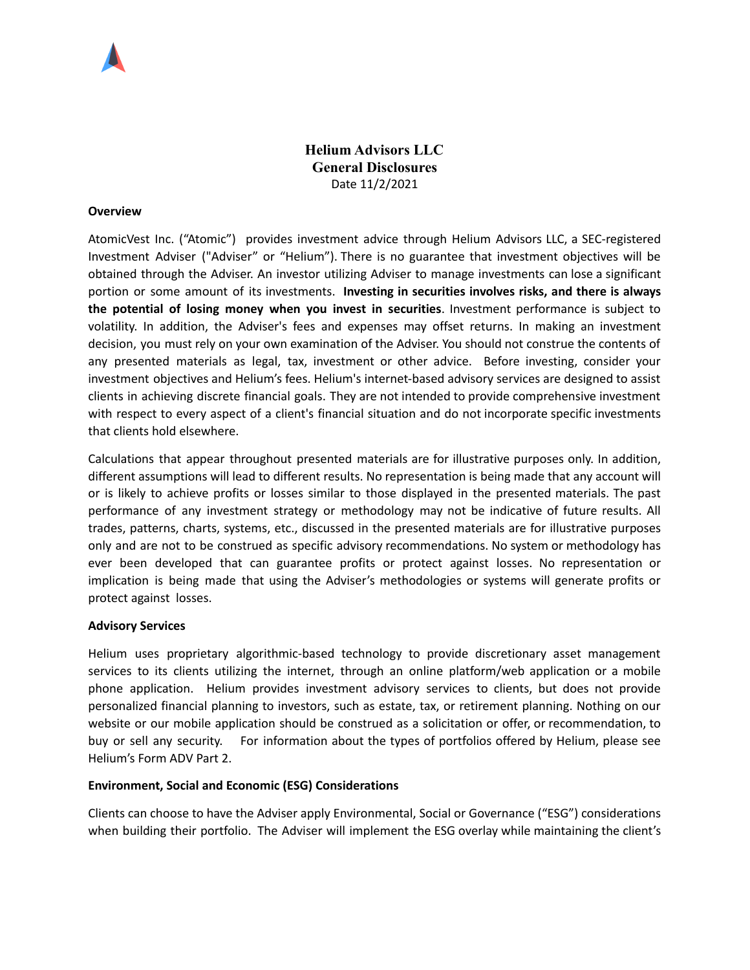

**Helium Advisors LLC General Disclosures** Date 11/2/2021

### **Overview**

AtomicVest Inc. ("Atomic") provides investment advice through Helium Advisors LLC, a SEC-registered Investment Adviser ("Adviser" or "Helium"). There is no guarantee that investment objectives will be obtained through the Adviser. An investor utilizing Adviser to manage investments can lose a significant portion or some amount of its investments. **Investing in securities involves risks, and there is always the potential of losing money when you invest in securities**. Investment performance is subject to volatility. In addition, the Adviser's fees and expenses may offset returns. In making an investment decision, you must rely on your own examination of the Adviser. You should not construe the contents of any presented materials as legal, tax, investment or other advice. Before investing, consider your investment objectives and Helium's fees. Helium's internet-based advisory services are designed to assist clients in achieving discrete financial goals. They are not intended to provide comprehensive investment with respect to every aspect of a client's financial situation and do not incorporate specific investments that clients hold elsewhere.

Calculations that appear throughout presented materials are for illustrative purposes only. In addition, different assumptions will lead to different results. No representation is being made that any account will or is likely to achieve profits or losses similar to those displayed in the presented materials. The past performance of any investment strategy or methodology may not be indicative of future results. All trades, patterns, charts, systems, etc., discussed in the presented materials are for illustrative purposes only and are not to be construed as specific advisory recommendations. No system or methodology has ever been developed that can guarantee profits or protect against losses. No representation or implication is being made that using the Adviser's methodologies or systems will generate profits or protect against losses.

#### **Advisory Services**

Helium uses proprietary algorithmic‐based technology to provide discretionary asset management services to its clients utilizing the internet, through an online platform/web application or a mobile phone application. Helium provides investment advisory services to clients, but does not provide personalized financial planning to investors, such as estate, tax, or retirement planning. Nothing on our website or our mobile application should be construed as a solicitation or offer, or recommendation, to buy or sell any security. For information about the types of portfolios offered by Helium, please see Helium's Form ADV Part 2.

# **Environment, Social and Economic (ESG) Considerations**

Clients can choose to have the Adviser apply Environmental, Social or Governance ("ESG") considerations when building their portfolio. The Adviser will implement the ESG overlay while maintaining the client's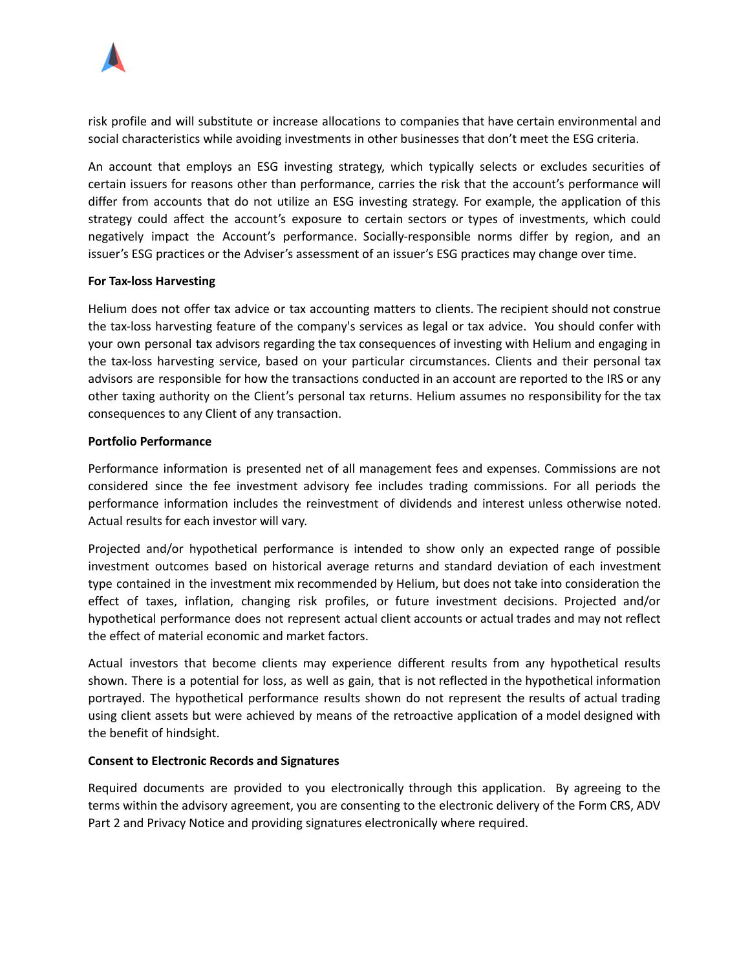

risk profile and will substitute or increase allocations to companies that have certain environmental and social characteristics while avoiding investments in other businesses that don't meet the ESG criteria.

An account that employs an ESG investing strategy, which typically selects or excludes securities of certain issuers for reasons other than performance, carries the risk that the account's performance will differ from accounts that do not utilize an ESG investing strategy. For example, the application of this strategy could affect the account's exposure to certain sectors or types of investments, which could negatively impact the Account's performance. Socially-responsible norms differ by region, and an issuer's ESG practices or the Adviser's assessment of an issuer's ESG practices may change over time.

## **For Tax-loss Harvesting**

Helium does not offer tax advice or tax accounting matters to clients. The recipient should not construe the tax-loss harvesting feature of the company's services as legal or tax advice. You should confer with your own personal tax advisors regarding the tax consequences of investing with Helium and engaging in the tax-loss harvesting service, based on your particular circumstances. Clients and their personal tax advisors are responsible for how the transactions conducted in an account are reported to the IRS or any other taxing authority on the Client's personal tax returns. Helium assumes no responsibility for the tax consequences to any Client of any transaction.

## **Portfolio Performance**

Performance information is presented net of all management fees and expenses. Commissions are not considered since the fee investment advisory fee includes trading commissions. For all periods the performance information includes the reinvestment of dividends and interest unless otherwise noted. Actual results for each investor will vary.

Projected and/or hypothetical performance is intended to show only an expected range of possible investment outcomes based on historical average returns and standard deviation of each investment type contained in the investment mix recommended by Helium, but does not take into consideration the effect of taxes, inflation, changing risk profiles, or future investment decisions. Projected and/or hypothetical performance does not represent actual client accounts or actual trades and may not reflect the effect of material economic and market factors.

Actual investors that become clients may experience different results from any hypothetical results shown. There is a potential for loss, as well as gain, that is not reflected in the hypothetical information portrayed. The hypothetical performance results shown do not represent the results of actual trading using client assets but were achieved by means of the retroactive application of a model designed with the benefit of hindsight.

# **Consent to Electronic Records and Signatures**

Required documents are provided to you electronically through this application. By agreeing to the terms within the advisory agreement, you are consenting to the electronic delivery of the Form CRS, ADV Part 2 and Privacy Notice and providing signatures electronically where required.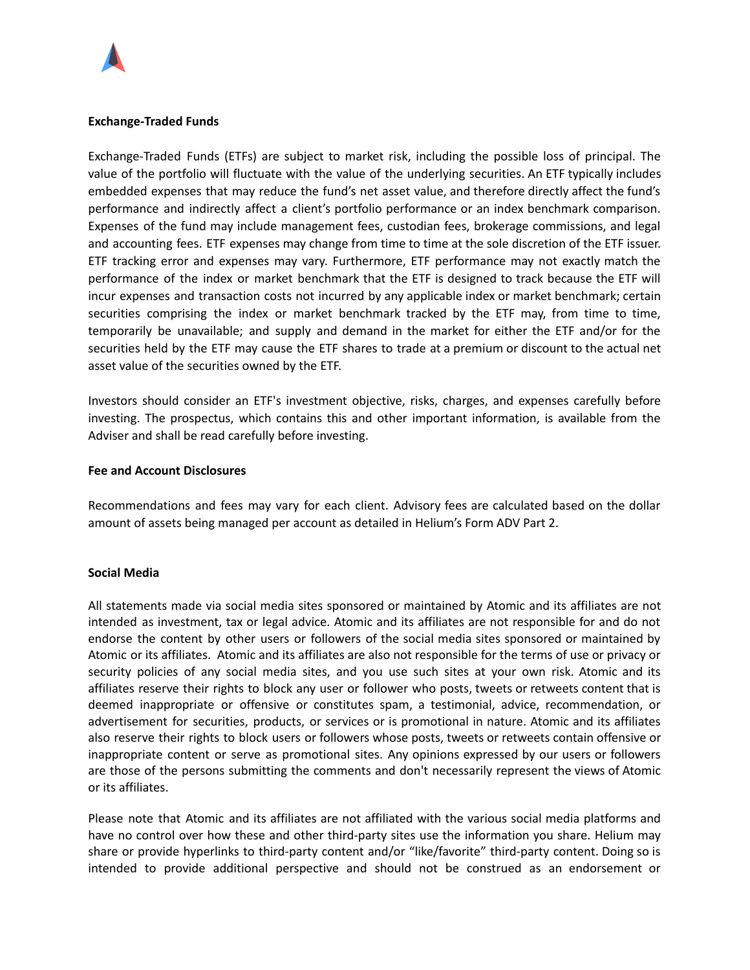

### **Exchange-Traded Funds**

Exchange-Traded Funds (ETFs) are subject to market risk, including the possible loss of principal. The value of the portfolio will fluctuate with the value of the underlying securities. An ETF typically includes embedded expenses that may reduce the fund's net asset value, and therefore directly affect the fund's performance and indirectly affect a client's portfolio performance or an index benchmark comparison. Expenses of the fund may include management fees, custodian fees, brokerage commissions, and legal and accounting fees. ETF expenses may change from time to time at the sole discretion of the ETF issuer. ETF tracking error and expenses may vary. Furthermore, ETF performance may not exactly match the performance of the index or market benchmark that the ETF is designed to track because the ETF will incur expenses and transaction costs not incurred by any applicable index or market benchmark; certain securities comprising the index or market benchmark tracked by the ETF may, from time to time, temporarily be unavailable; and supply and demand in the market for either the ETF and/or for the securities held by the ETF may cause the ETF shares to trade at a premium or discount to the actual net asset value of the securities owned by the ETF.

Investors should consider an ETF's investment objective, risks, charges, and expenses carefully before investing. The prospectus, which contains this and other important information, is available from the Adviser and shall be read carefully before investing.

#### **Fee and Account Disclosures**

Recommendations and fees may vary for each client. Advisory fees are calculated based on the dollar amount of assets being managed per account as detailed in Helium's Form ADV Part 2.

#### **Social Media**

All statements made via social media sites sponsored or maintained by Atomic and its affiliates are not intended as investment, tax or legal advice. Atomic and its affiliates are not responsible for and do not endorse the content by other users or followers of the social media sites sponsored or maintained by Atomic or its affiliates. Atomic and its affiliates are also not responsible for the terms of use or privacy or security policies of any social media sites, and you use such sites at your own risk. Atomic and its affiliates reserve their rights to block any user or follower who posts, tweets or retweets content that is deemed inappropriate or offensive or constitutes spam, a testimonial, advice, recommendation, or advertisement for securities, products, or services or is promotional in nature. Atomic and its affiliates also reserve their rights to block users or followers whose posts, tweets or retweets contain offensive or inappropriate content or serve as promotional sites. Any opinions expressed by our users or followers are those of the persons submitting the comments and don't necessarily represent the views of Atomic or its affiliates.

Please note that Atomic and its affiliates are not affiliated with the various social media platforms and have no control over how these and other third-party sites use the information you share. Helium may share or provide hyperlinks to third-party content and/or "like/favorite" third-party content. Doing so is intended to provide additional perspective and should not be construed as an endorsement or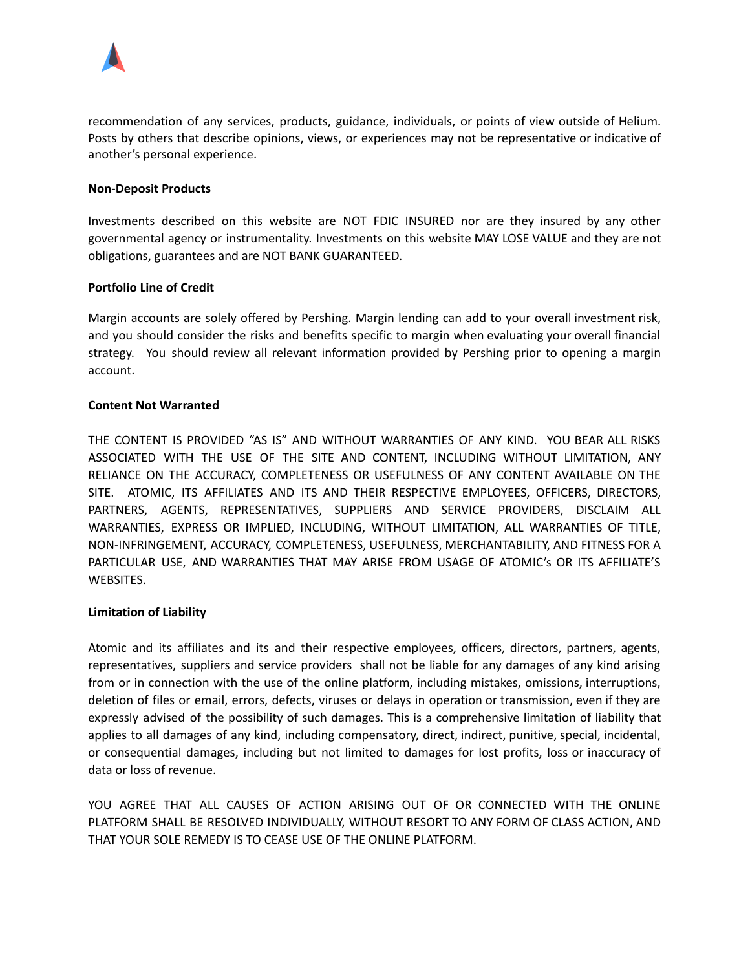

recommendation of any services, products, guidance, individuals, or points of view outside of Helium. Posts by others that describe opinions, views, or experiences may not be representative or indicative of another's personal experience.

## **Non-Deposit Products**

Investments described on this website are NOT FDIC INSURED nor are they insured by any other governmental agency or instrumentality. Investments on this website MAY LOSE VALUE and they are not obligations, guarantees and are NOT BANK GUARANTEED.

# **Portfolio Line of Credit**

Margin accounts are solely offered by Pershing. Margin lending can add to your overall investment risk, and you should consider the risks and benefits specific to margin when evaluating your overall financial strategy. You should review all relevant information provided by Pershing prior to opening a margin account.

## **Content Not Warranted**

THE CONTENT IS PROVIDED "AS IS" AND WITHOUT WARRANTIES OF ANY KIND. YOU BEAR ALL RISKS ASSOCIATED WITH THE USE OF THE SITE AND CONTENT, INCLUDING WITHOUT LIMITATION, ANY RELIANCE ON THE ACCURACY, COMPLETENESS OR USEFULNESS OF ANY CONTENT AVAILABLE ON THE SITE. ATOMIC, ITS AFFILIATES AND ITS AND THEIR RESPECTIVE EMPLOYEES, OFFICERS, DIRECTORS, PARTNERS, AGENTS, REPRESENTATIVES, SUPPLIERS AND SERVICE PROVIDERS, DISCLAIM ALL WARRANTIES, EXPRESS OR IMPLIED, INCLUDING, WITHOUT LIMITATION, ALL WARRANTIES OF TITLE, NON-INFRINGEMENT, ACCURACY, COMPLETENESS, USEFULNESS, MERCHANTABILITY, AND FITNESS FOR A PARTICULAR USE, AND WARRANTIES THAT MAY ARISE FROM USAGE OF ATOMIC's OR ITS AFFILIATE'S WEBSITES.

# **Limitation of Liability**

Atomic and its affiliates and its and their respective employees, officers, directors, partners, agents, representatives, suppliers and service providers shall not be liable for any damages of any kind arising from or in connection with the use of the online platform, including mistakes, omissions, interruptions, deletion of files or email, errors, defects, viruses or delays in operation or transmission, even if they are expressly advised of the possibility of such damages. This is a comprehensive limitation of liability that applies to all damages of any kind, including compensatory, direct, indirect, punitive, special, incidental, or consequential damages, including but not limited to damages for lost profits, loss or inaccuracy of data or loss of revenue.

YOU AGREE THAT ALL CAUSES OF ACTION ARISING OUT OF OR CONNECTED WITH THE ONLINE PLATFORM SHALL BE RESOLVED INDIVIDUALLY, WITHOUT RESORT TO ANY FORM OF CLASS ACTION, AND THAT YOUR SOLE REMEDY IS TO CEASE USE OF THE ONLINE PLATFORM.